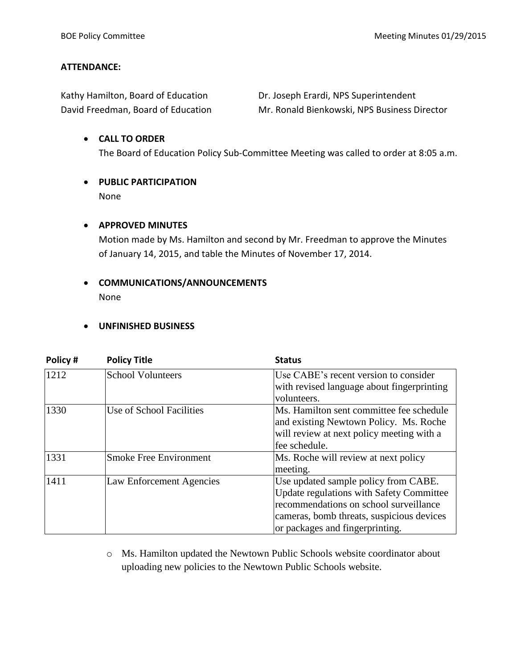#### **ATTENDANCE:**

| Kathy Hamilton, Board of Education |
|------------------------------------|
| David Freedman, Board of Education |

Dr. Joseph Erardi, NPS Superintendent Mr. Ronald Bienkowski, NPS Business Director

# **CALL TO ORDER** The Board of Education Policy Sub-Committee Meeting was called to order at 8:05 a.m.

 **PUBLIC PARTICIPATION** None

#### **APPROVED MINUTES**

Motion made by Ms. Hamilton and second by Mr. Freedman to approve the Minutes of January 14, 2015, and table the Minutes of November 17, 2014.

## **COMMUNICATIONS/ANNOUNCEMENTS** None

### **UNFINISHED BUSINESS**

| Policy# | <b>Policy Title</b>           | <b>Status</b>                                                                                                                                                                                                     |  |
|---------|-------------------------------|-------------------------------------------------------------------------------------------------------------------------------------------------------------------------------------------------------------------|--|
| 1212    | <b>School Volunteers</b>      | Use CABE's recent version to consider<br>with revised language about fingerprinting<br>volunteers.                                                                                                                |  |
| 1330    | Use of School Facilities      | Ms. Hamilton sent committee fee schedule<br>and existing Newtown Policy. Ms. Roche<br>will review at next policy meeting with a<br>fee schedule.                                                                  |  |
| 1331    | <b>Smoke Free Environment</b> | Ms. Roche will review at next policy<br>meeting.                                                                                                                                                                  |  |
| 1411    | Law Enforcement Agencies      | Use updated sample policy from CABE.<br><b>Update regulations with Safety Committee</b><br>recommendations on school surveillance<br>cameras, bomb threats, suspicious devices<br>or packages and fingerprinting. |  |

o Ms. Hamilton updated the Newtown Public Schools website coordinator about uploading new policies to the Newtown Public Schools website.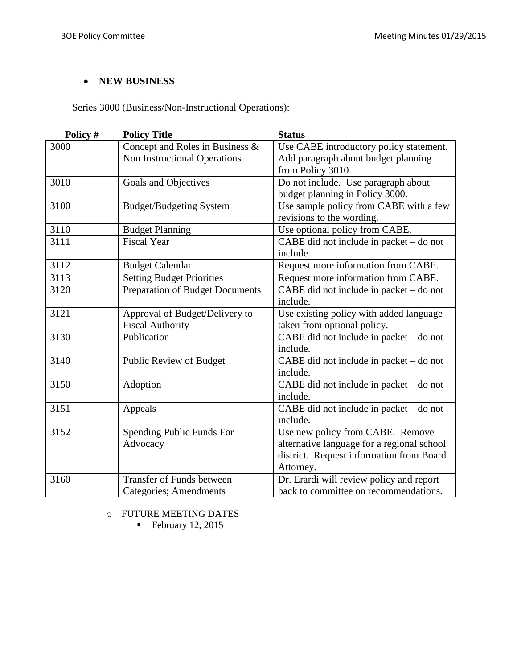## **NEW BUSINESS**

Series 3000 (Business/Non-Instructional Operations):

| Policy # | <b>Policy Title</b>              | <b>Status</b>                                        |  |
|----------|----------------------------------|------------------------------------------------------|--|
| 3000     | Concept and Roles in Business &  | Use CABE introductory policy statement.              |  |
|          | Non Instructional Operations     | Add paragraph about budget planning                  |  |
|          |                                  | from Policy 3010.                                    |  |
| 3010     | Goals and Objectives             | Do not include. Use paragraph about                  |  |
|          |                                  | budget planning in Policy 3000.                      |  |
| 3100     | <b>Budget/Budgeting System</b>   | Use sample policy from CABE with a few               |  |
|          |                                  | revisions to the wording.                            |  |
| 3110     | <b>Budget Planning</b>           | Use optional policy from CABE.                       |  |
| 3111     | <b>Fiscal Year</b>               | CABE did not include in packet – do not              |  |
|          |                                  | include.                                             |  |
| 3112     | <b>Budget Calendar</b>           | Request more information from CABE.                  |  |
| 3113     | <b>Setting Budget Priorities</b> | Request more information from CABE.                  |  |
| 3120     | Preparation of Budget Documents  | $\overline{CABE}$ did not include in packet – do not |  |
|          |                                  | include.                                             |  |
| 3121     | Approval of Budget/Delivery to   | Use existing policy with added language              |  |
|          | <b>Fiscal Authority</b>          | taken from optional policy.                          |  |
| 3130     | Publication                      | CABE did not include in packet - do not              |  |
|          |                                  | include.                                             |  |
| 3140     | Public Review of Budget          | CABE did not include in packet - do not              |  |
|          |                                  | include.                                             |  |
| 3150     | Adoption                         | CABE did not include in packet - do not              |  |
|          |                                  | include.                                             |  |
| 3151     | Appeals                          | CABE did not include in packet - do not              |  |
|          |                                  | include.                                             |  |
| 3152     | Spending Public Funds For        | Use new policy from CABE. Remove                     |  |
|          | Advocacy                         | alternative language for a regional school           |  |
|          |                                  | district. Request information from Board             |  |
|          |                                  | Attorney.                                            |  |
| 3160     | <b>Transfer of Funds between</b> | Dr. Erardi will review policy and report             |  |
|          | <b>Categories</b> ; Amendments   | back to committee on recommendations.                |  |

o FUTURE MEETING DATES

 $\blacksquare$  February 12, 2015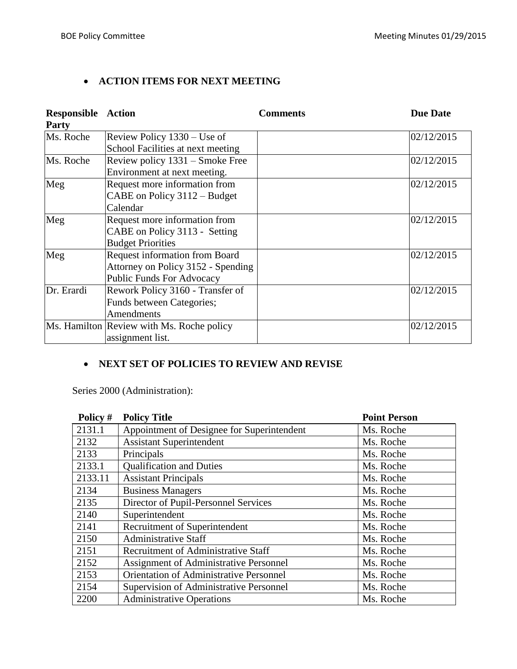# **ACTION ITEMS FOR NEXT MEETING**

| <b>Responsible Action</b><br><b>Party</b> |                                           | <b>Comments</b> | <b>Due Date</b> |
|-------------------------------------------|-------------------------------------------|-----------------|-----------------|
| Ms. Roche                                 | Review Policy 1330 – Use of               |                 | 02/12/2015      |
|                                           | School Facilities at next meeting         |                 |                 |
| Ms. Roche                                 | Review policy 1331 – Smoke Free           |                 | 02/12/2015      |
|                                           | Environment at next meeting.              |                 |                 |
| Meg                                       | Request more information from             |                 | 02/12/2015      |
|                                           | CABE on Policy 3112 – Budget              |                 |                 |
|                                           | Calendar                                  |                 |                 |
| Meg                                       | Request more information from             |                 | 02/12/2015      |
|                                           | CABE on Policy 3113 - Setting             |                 |                 |
|                                           | <b>Budget Priorities</b>                  |                 |                 |
| Meg                                       | <b>Request information from Board</b>     |                 | 02/12/2015      |
|                                           | Attorney on Policy 3152 - Spending        |                 |                 |
|                                           | <b>Public Funds For Advocacy</b>          |                 |                 |
| Dr. Erardi                                | Rework Policy 3160 - Transfer of          |                 | 02/12/2015      |
|                                           | Funds between Categories;                 |                 |                 |
|                                           | Amendments                                |                 |                 |
|                                           | Ms. Hamilton Review with Ms. Roche policy |                 | 02/12/2015      |
|                                           | assignment list.                          |                 |                 |

# **NEXT SET OF POLICIES TO REVIEW AND REVISE**

Series 2000 (Administration):

| Policy # | <b>Policy Title</b>                            | <b>Point Person</b> |
|----------|------------------------------------------------|---------------------|
| 2131.1   | Appointment of Designee for Superintendent     | Ms. Roche           |
| 2132     | <b>Assistant Superintendent</b>                | Ms. Roche           |
| 2133     | Principals                                     | Ms. Roche           |
| 2133.1   | <b>Qualification and Duties</b>                | Ms. Roche           |
| 2133.11  | <b>Assistant Principals</b>                    | Ms. Roche           |
| 2134     | <b>Business Managers</b>                       | Ms. Roche           |
| 2135     | Director of Pupil-Personnel Services           | Ms. Roche           |
| 2140     | Superintendent                                 | Ms. Roche           |
| 2141     | Recruitment of Superintendent                  | Ms. Roche           |
| 2150     | <b>Administrative Staff</b>                    | Ms. Roche           |
| 2151     | Recruitment of Administrative Staff            | Ms. Roche           |
| 2152     | <b>Assignment of Administrative Personnel</b>  | Ms. Roche           |
| 2153     | <b>Orientation of Administrative Personnel</b> | Ms. Roche           |
| 2154     | <b>Supervision of Administrative Personnel</b> | Ms. Roche           |
| 2200     | <b>Administrative Operations</b>               | Ms. Roche           |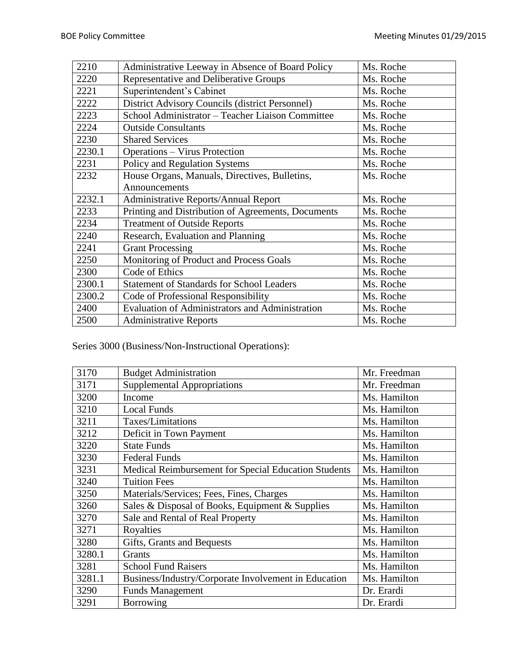| 2210   | Administrative Leeway in Absence of Board Policy   | Ms. Roche |
|--------|----------------------------------------------------|-----------|
| 2220   | Representative and Deliberative Groups             | Ms. Roche |
| 2221   | Superintendent's Cabinet                           | Ms. Roche |
| 2222   | District Advisory Councils (district Personnel)    | Ms. Roche |
| 2223   | School Administrator - Teacher Liaison Committee   | Ms. Roche |
| 2224   | <b>Outside Consultants</b>                         | Ms. Roche |
| 2230   | <b>Shared Services</b>                             | Ms. Roche |
| 2230.1 | <b>Operations – Virus Protection</b>               | Ms. Roche |
| 2231   | Policy and Regulation Systems                      | Ms. Roche |
| 2232   | House Organs, Manuals, Directives, Bulletins,      | Ms. Roche |
|        | Announcements                                      |           |
| 2232.1 | <b>Administrative Reports/Annual Report</b>        | Ms. Roche |
| 2233   | Printing and Distribution of Agreements, Documents | Ms. Roche |
| 2234   | <b>Treatment of Outside Reports</b>                | Ms. Roche |
| 2240   | Research, Evaluation and Planning                  | Ms. Roche |
| 2241   | <b>Grant Processing</b>                            | Ms. Roche |
| 2250   | Monitoring of Product and Process Goals            | Ms. Roche |
| 2300   | Code of Ethics                                     | Ms. Roche |
| 2300.1 | <b>Statement of Standards for School Leaders</b>   | Ms. Roche |
| 2300.2 | Code of Professional Responsibility                | Ms. Roche |
| 2400   | Evaluation of Administrators and Administration    | Ms. Roche |
| 2500   | <b>Administrative Reports</b>                      | Ms. Roche |

Series 3000 (Business/Non-Instructional Operations):

| 3170   | <b>Budget Administration</b>                         | Mr. Freedman |
|--------|------------------------------------------------------|--------------|
| 3171   | <b>Supplemental Appropriations</b>                   | Mr. Freedman |
| 3200   | Income                                               | Ms. Hamilton |
| 3210   | <b>Local Funds</b>                                   | Ms. Hamilton |
| 3211   | Taxes/Limitations                                    | Ms. Hamilton |
| 3212   | Deficit in Town Payment                              | Ms. Hamilton |
| 3220   | <b>State Funds</b>                                   | Ms. Hamilton |
| 3230   | <b>Federal Funds</b>                                 | Ms. Hamilton |
| 3231   | Medical Reimbursement for Special Education Students | Ms. Hamilton |
| 3240   | <b>Tuition Fees</b>                                  | Ms. Hamilton |
| 3250   | Materials/Services; Fees, Fines, Charges             | Ms. Hamilton |
| 3260   | Sales & Disposal of Books, Equipment & Supplies      | Ms. Hamilton |
| 3270   | Sale and Rental of Real Property                     | Ms. Hamilton |
| 3271   | Royalties                                            | Ms. Hamilton |
| 3280   | Gifts, Grants and Bequests                           | Ms. Hamilton |
| 3280.1 | Grants                                               | Ms. Hamilton |
| 3281   | <b>School Fund Raisers</b>                           | Ms. Hamilton |
| 3281.1 | Business/Industry/Corporate Involvement in Education | Ms. Hamilton |
| 3290   | <b>Funds Management</b>                              | Dr. Erardi   |
| 3291   | Borrowing                                            | Dr. Erardi   |